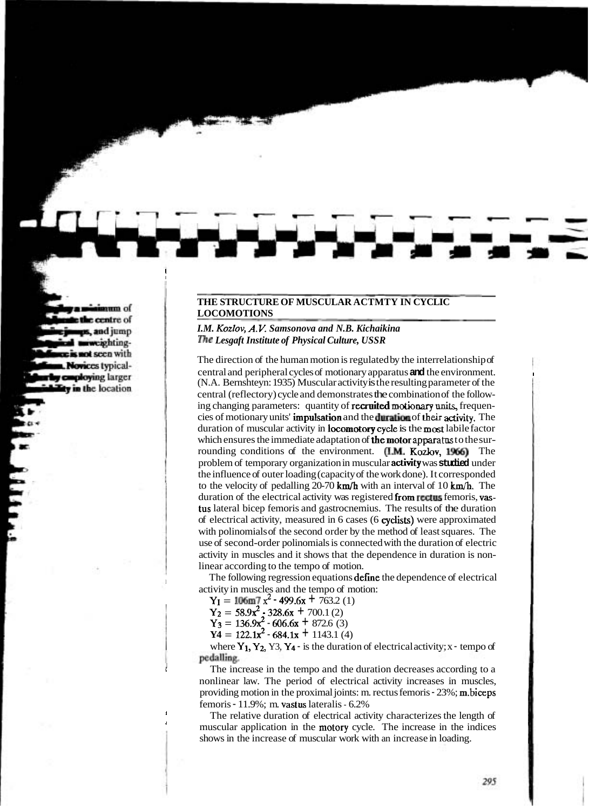## **THE STRUCTURE OF MUSCULAR ACTMTY IN CYCLIC LOCOMOTIONS**

## *I.M. Kozlov, A.V. Samsonova and N.B. Kichaikina me Lesgaft Institute of Physical Culture, USSR*

The direction of the human motion is regulated by the interrelationship of central and peripheral cycles of motionary apparatus **and** the environment. <sup>I</sup> (N.A. Bernshteyn: 1935) Muscular activity is the resulting parameter of the central (reflectory) cycle and demonstrates the combination of the following changing parameters: quantity of **recruited motionary units**, frequencies of motionary units' impdsation and the **damtion** of **their activity.** The duration of muscular activity in Iocomotory **cycle** is the **most** labile factor which ensures the immediate adaptation of **the motor apparatus** to the sur-<br>rounding conditions of the environment. **(I.M. Kozlov, 1966)** The rounding conditions of the environment. **(I.M. Kozlov, 1966)** The problem of temporary organization in muscular activity was **studied** under the influence of outer loading (capacity of the work done). It corresponded to the velocity of pedalling 20-70 km/h with an interval of 10 **km/h.** The duration of the electrical activity was registered from rectus femoris, vastus lateral bicep femoris and gastrocnemius. The results of the duration of electrical activity, measured in 6 cases (6 cyclists) were approximated with polinomials of the second order by the method of least squares. The use of second-order polinomials is connected with the duration of electric activity in muscles and it shows that the dependence in duration is nonlinear according to the tempo of motion.

The following regression equations **define** the dependence of electrical activity in muscles and the tempo of motion:

 $Y_1 = 106$ m7  $x^2$  - 499.6x + 763.2 (1)

 $Y_2 = 58.9x^2 - 328.6x + 700.1(2)$ 

 $Y_3 = 136.9x^2 - 606.6x + 872.6$  (3)

 $Y4 = 122.1x^2 - 684.1x + 1143.1$  (4)

where  $Y_1$ ,  $Y_2$ ,  $Y_3$ ,  $Y_4$  - is the duration of electrical activity; x - tempo of pedalling.

**<sup>1</sup>**The increase in the tempo and the duration decreases according to a nonlinear law. The period of electrical activity increases in muscles, providing motion in the proximal joints: m. rectus femoris - 23%; m.biceps femoris - 11.9%; m. vastus lateralis - 6.2%

The relative duration of electrical activity characterizes the length of **<sup>1</sup>**muscular application in the motory cycle. The increase in the indices shows in the increase of muscular work with an increase in loading.